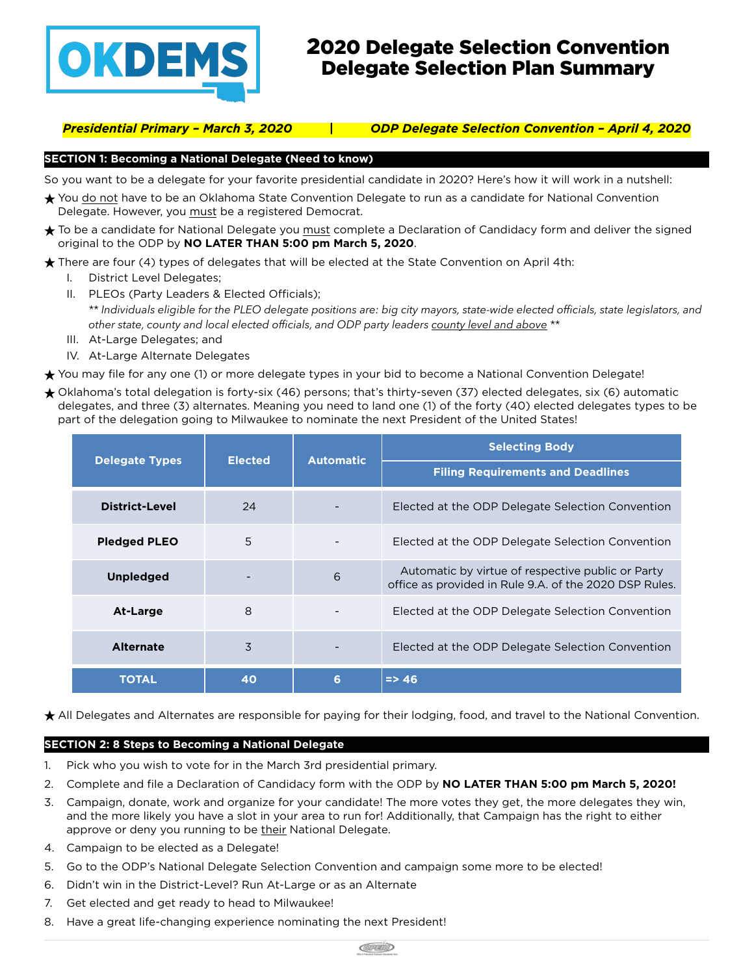

# 2020 Delegate Selection Convention Delegate Selection Plan Summary

*Presidential Primary – March 3, 2020 | ODP Delegate Selection Convention – April 4, 2020*

### **SECTION 1: Becoming a National Delegate (Need to know)**

So you want to be a delegate for your favorite presidential candidate in 2020? Here's how it will work in a nutshell:

- ★ You do not have to be an Oklahoma State Convention Delegate to run as a candidate for National Convention Delegate. However, you must be a registered Democrat.
- ★ To be a candidate for National Delegate you must complete a Declaration of Candidacy form and deliver the signed original to the ODP by **NO LATER THAN 5:00 pm March 5, 2020**.

 $\bigstar$  There are four (4) types of delegates that will be elected at the State Convention on April 4th:

- I. District Level Delegates;
- II. PLEOs (Party Leaders & Elected Officials); *\*\* Individuals eligible for the PLEO delegate positions are: big city mayors, state-wide elected officials, state legislators, and other state, county and local elected officials, and ODP party leaders county level and above \*\**
- III. At-Large Delegates; and
- IV. At-Large Alternate Delegates

★ You may file for any one (1) or more delegate types in your bid to become a National Convention Delegate!

★ Oklahoma's total delegation is forty-six (46) persons; that's thirty-seven (37) elected delegates, six (6) automatic delegates, and three (3) alternates. Meaning you need to land one (1) of the forty (40) elected delegates types to be part of the delegation going to Milwaukee to nominate the next President of the United States!

| <b>Delegate Types</b> | <b>Elected</b> | <b>Automatic</b> | <b>Selecting Body</b>                                                                                       |  |  |
|-----------------------|----------------|------------------|-------------------------------------------------------------------------------------------------------------|--|--|
|                       |                |                  | <b>Filing Requirements and Deadlines</b>                                                                    |  |  |
| District-Level        | 24             |                  | Elected at the ODP Delegate Selection Convention                                                            |  |  |
| <b>Pledged PLEO</b>   | 5              |                  | Elected at the ODP Delegate Selection Convention                                                            |  |  |
| <b>Unpledged</b>      |                | 6                | Automatic by virtue of respective public or Party<br>office as provided in Rule 9.A. of the 2020 DSP Rules. |  |  |
| At-Large              | 8              |                  | Elected at the ODP Delegate Selection Convention                                                            |  |  |
| <b>Alternate</b>      | 3              |                  | Elected at the ODP Delegate Selection Convention                                                            |  |  |
| <b>TOTAL</b>          | 40             | 6                | $\Rightarrow$ 46                                                                                            |  |  |

★ All Delegates and Alternates are responsible for paying for their lodging, food, and travel to the National Convention.

### **SECTION 2: 8 Steps to Becoming a National Delegate**

- 1. Pick who you wish to vote for in the March 3rd presidential primary.
- 2. Complete and file a Declaration of Candidacy form with the ODP by **NO LATER THAN 5:00 pm March 5, 2020!**
- 3. Campaign, donate, work and organize for your candidate! The more votes they get, the more delegates they win, and the more likely you have a slot in your area to run for! Additionally, that Campaign has the right to either approve or deny you running to be their National Delegate.
- 4. Campaign to be elected as a Delegate!
- 5. Go to the ODP's National Delegate Selection Convention and campaign some more to be elected!
- 6. Didn't win in the District-Level? Run At-Large or as an Alternate
- 7. Get elected and get ready to head to Milwaukee!
- 8. Have a great life-changing experience nominating the next President!